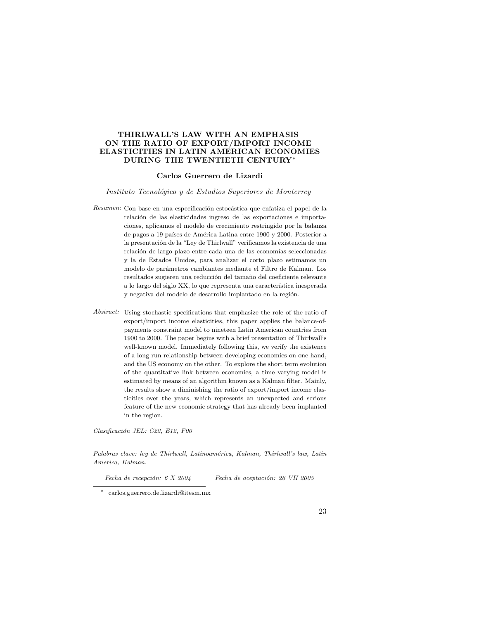# THIRLWALL'S LAW WITH AN EMPHASIS ON THE RATIO OF EXPORT/IMPORT INCOME ELASTICITIES IN LATIN AMERICAN ECONOMIES DURING THE TWENTIETH CENTURY\*

# Carlos Guerrero de Lizardi

### Instituto Tecnológico y de Estudios Superiores de Monterrey

- Resumen: Con base en una especificación estocástica que enfatiza el papel de la relación de las elasticidades ingreso de las exportaciones e importaciones, aplicamos el modelo de crecimiento restringido por la balanza de pagos a 19 países de América Latina entre 1900 y 2000. Posterior a la presentación de la "Ley de Thirlwall" verificamos la existencia de una relación de largo plazo entre cada una de las economías seleccionadas y la de Estados Unidos, para analizar el corto plazo estimamos un modelo de parámetros cambiantes mediante el Filtro de Kalman. Los resultados sugieren una reducción del tamaño del coeficiente relevante a lo largo del siglo XX, lo que representa una característica inesperada y negativa del modelo de desarrollo implantado en la región.
- Abstract: Using stochastic specifications that emphasize the role of the ratio of export/import income elasticities, this paper applies the balance-ofpayments constraint model to nineteen Latin American countries from 1900 to 2000. The paper begins with a brief presentation of Thirlwall's well-known model. Immediately following this, we verify the existence of a long run relationship between developing economies on one hand, and the US economy on the other. To explore the short term evolution of the quantitative link between economies, a time varying model is estimated by means of an algorithm known as a Kalman filter. Mainly, the results show a diminishing the ratio of export/import income elasticities over the years, which represents an unexpected and serious feature of the new economic strategy that has already been implanted in the region.

Clasificación JEL: C22, E12, F00

Palabras clave: ley de Thirlwall, Latinoamérica, Kalman, Thirlwall's law, Latin America, Kalman.

 $Fecha$  de recepción: 6  $X$  2004 Fecha de aceptación: 26 VII 2005

carlos.guerrero.de.lizardi@itesm.mx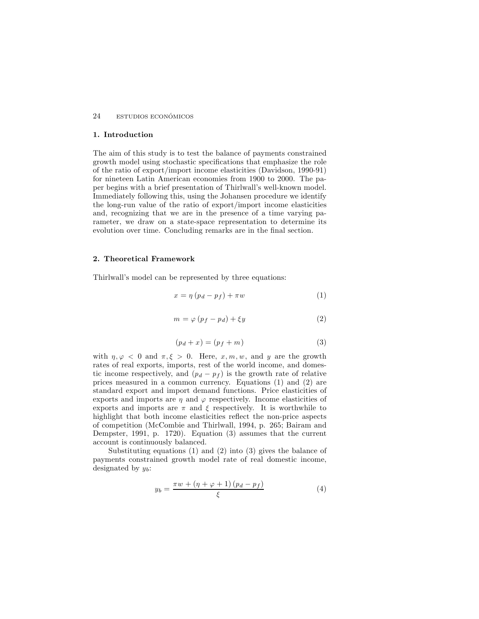# 1. Introduction

The aim of this study is to test the balance of payments constrained growth model using stochastic specifications that emphasize the role of the ratio of export/import income elasticities (Davidson, 1990-91) for nineteen Latin American economies from 1900 to 2000. The paper begins with a brief presentation of Thirlwall's well-known model. Immediately following this, using the Johansen procedure we identify the long-run value of the ratio of export/import income elasticities and, recognizing that we are in the presence of a time varying parameter, we draw on a state-space representation to determine its evolution over time. Concluding remarks are in the final section.

# 2. Theoretical Framework

Thirlwall's model can be represented by three equations:

$$
x = \eta \left( p_d - p_f \right) + \pi w \tag{1}
$$

$$
m = \varphi (p_f - p_d) + \xi y \tag{2}
$$

$$
(p_d + x) = (p_f + m)
$$
\n<sup>(3)</sup>

with  $\eta, \varphi \langle 0 \rangle$  and  $\pi, \xi > 0$ . Here, x, m, w, and y are the growth rates of real exports, imports, rest of the world income, and domestic income respectively, and  $(p_d - p_f)$  is the growth rate of relative prices measured in a common currency. Equations (1) and (2) are standard export and import demand functions. Price elasticities of exports and imports are  $\eta$  and  $\varphi$  respectively. Income elasticities of exports and imports are  $\pi$  and  $\xi$  respectively. It is worthwhile to highlight that both income elasticities reflect the non-price aspects of competition (McCombie and Thirlwall, 1994, p. 265; Bairam and Dempster, 1991, p. 1720). Equation (3) assumes that the current account is continuously balanced.

Substituting equations (1) and (2) into (3) gives the balance of payments constrained growth model rate of real domestic income, designated by  $y_b$ :

$$
y_b = \frac{\pi w + (\eta + \varphi + 1)(p_d - p_f)}{\xi} \tag{4}
$$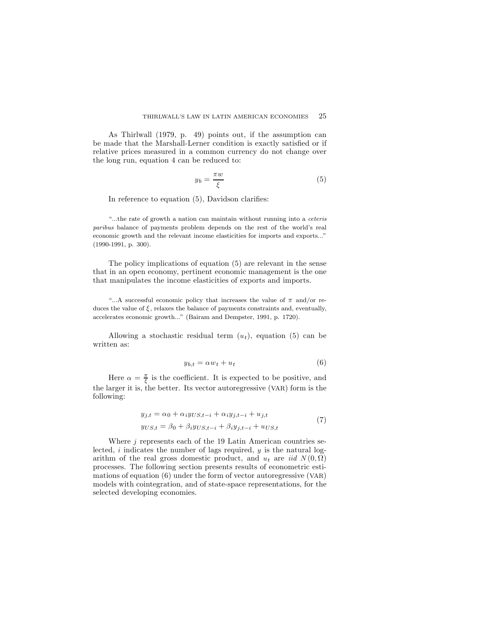As Thirlwall (1979, p. 49) points out, if the assumption can be made that the Marshall-Lerner condition is exactly satisfied or if relative prices measured in a common currency do not change over the long run, equation 4 can be reduced to:

$$
y_b = \frac{\pi w}{\xi} \tag{5}
$$

In reference to equation  $(5)$ , Davidson clarifies:

"...the rate of growth a nation can maintain without running into a ceteris paribus balance of payments problem depends on the rest of the world's real economic growth and the relevant income elasticities for imports and exports..."  $(1990-1991, p. 300).$ 

The policy implications of equation (5) are relevant in the sense that in an open economy, pertinent economic management is the one that manipulates the income elasticities of exports and imports.

"...A successful economic policy that increases the value of  $\pi$  and/or reduces the value of  $\xi$ , relaxes the balance of payments constraints and, eventually, accelerates economic growth..." (Bairam and Dempster, 1991, p. 1720).

Allowing a stochastic residual term  $(u_t)$ , equation (5) can be written as:

$$
y_{b,t} = \alpha w_t + u_t \tag{6}
$$

Here  $\alpha = \frac{\pi}{6}$  is the coefficient. It is expected to be positive, and the larger it is, the better. Its vector autoregressive  $(VAR)$  form is the following:

$$
y_{j,t} = \alpha_0 + \alpha_i y_{US,t-i} + \alpha_i y_{j,t-i} + u_{j,t}
$$
  
\n
$$
y_{US,t} = \beta_0 + \beta_i y_{US,t-i} + \beta_i y_{j,t-i} + u_{US,t}
$$
\n(7)

Where  $j$  represents each of the 19 Latin American countries selected, i indicates the number of lags required,  $y$  is the natural logarithm of the real gross domestic product, and  $u_t$  are iid  $N(0, \Omega)$ processes. The following section presents results of econometric estimations of equation  $(6)$  under the form of vector autoregressive  $(VAR)$ models with cointegration, and of state-space representations, for the selected developing economies.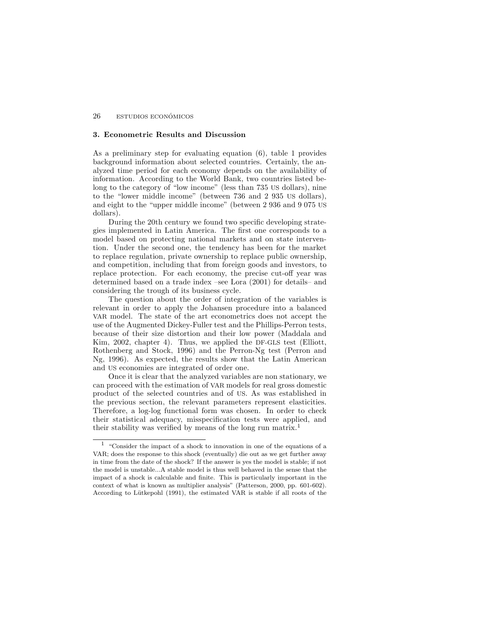# 3. Econometric Results and Discussion

As a preliminary step for evaluating equation  $(6)$ , table 1 provides background information about selected countries. Certainly, the analyzed time period for each economy depends on the availability of information. According to the World Bank, two countries listed belong to the category of "low income" (less than 735 US dollars), nine to the "lower middle income" (between  $736$  and  $2$  935 US dollars), and eight to the "upper middle income" (between 2 936 and 9 075 US dollars).

During the 20th century we found two specific developing strategies implemented in Latin America. The first one corresponds to a model based on protecting national markets and on state intervention. Under the second one, the tendency has been for the market to replace regulation, private ownership to replace public ownership, and competition, including that from foreign goods and investors, to replace protection. For each economy, the precise cut-off year was determined based on a trade index  $-$ see Lora (2001) for details $-$  and considering the trough of its business cycle.

The question about the order of integration of the variables is relevant in order to apply the Johansen procedure into a balanced VAR model. The state of the art econometrics does not accept the use of the Augmented Dickey-Fuller test and the Phillips-Perron tests, because of their size distortion and their low power (Maddala and Kim, 2002, chapter 4). Thus, we applied the DF-GLS test (Elliott, Rothenberg and Stock, 1996) and the Perron-Ng test (Perron and Ng, 1996). As expected, the results show that the Latin American and US economies are integrated of order one.

Once it is clear that the analyzed variables are non stationary, we can proceed with the estimation of VAR models for real gross domestic product of the selected countries and of US. As was established in the previous section, the relevant parameters represent elasticities. Therefore, a log-log functional form was chosen. In order to check their statistical adequacy, misspecification tests were applied, and their stability was verified by means of the long run matrix.<sup>1</sup>

<sup>&</sup>lt;sup>1</sup> "Consider the impact of a shock to innovation in one of the equations of a VAR; does the response to this shock (eventually) die out as we get further away in time from the date of the shock? If the answer is yes the model is stable; if not the model is unstable...A stable model is thus well behaved in the sense that the impact of a shock is calculable and finite. This is particularly important in the context of what is known as multiplier analysis" (Patterson, 2000, pp. 601-602). According to Lütkepohl (1991), the estimated VAR is stable if all roots of the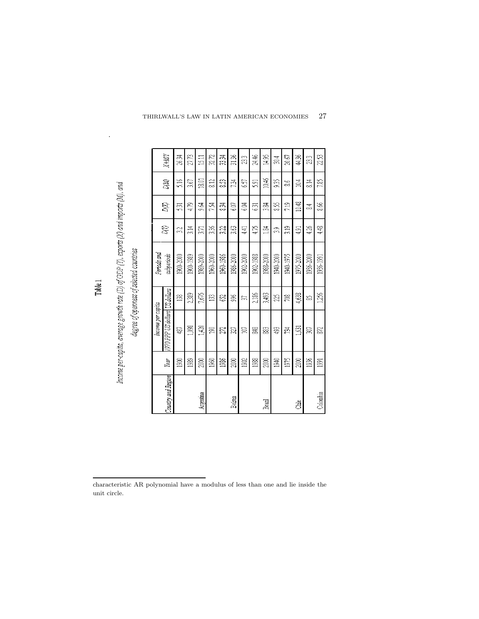|                    |      | Income per capita              |       | Periods and |                  |           |               |        |
|--------------------|------|--------------------------------|-------|-------------|------------------|-----------|---------------|--------|
| Country and Region | Year | 1970 PPP US dollars US dollars |       | subperiods  | R                | <b>SS</b> | DM)           | $X+MN$ |
|                    | 900  | 4S)                            | g     | 1900-2000   | 32               | នា        | 5.16          | 26.34  |
|                    | 1989 | 1,098                          | 2389  | 1900-1989   | 3.14             | 479       | 3.67          | 27,73  |
| Argentina          | ã    | 1,420                          | 7,675 | 1989-2000   | $\overline{371}$ | 9.A       | 18.01         | 1511   |
|                    | 1960 | S                              | E     | 1960-2000   | 336              | 734       | 212           | 32.72  |
|                    | 1986 | 22                             | S     | 1960-1986   | 3.22             | 834       | S3            | 33,34  |
| Bolinia            | 2000 | 27                             | š     | 1986-2000   | 3.63             | 6.07      | 734           | 31.36  |
|                    | 1902 | 闫                              | S)    | 1902-2000   | 441              | Ë9        | 657           | 23     |
|                    | 1988 | SAS                            | 2,186 | 1902-1988   | 475              | 631       | 5.91          | 24.46  |
| Brazil             | 2000 | 88                             | 3,493 | 1988-2000   | $\frac{54}{5}$   | 384       | 10.46         | 14.95  |
|                    | 1940 | \$3                            | Z     | 1940-2000   | 33               | SS.       | 935           | 30,4   |
|                    | 1975 | 734                            | g     | 1940-1975   | 319              | 219       | వ             | 20.67  |
| ğ                  | 2000 | 1631                           | 4,638 | 1975-2000   | 491              | 10.48     | 10.4          | 44.36  |
|                    | 1936 | W                              | S     | 1936-2000   | 4.26             | ₹         | $\frac{4}{8}$ | 23     |
| Colombia           | 991  | S                              | 1,256 | 1936-1991   | 448              | 88        | 7.85          | 22.53  |

Income per-capita, average growth rate (D) of GDP (1), exports (X) and imports (M), and

Table 1

degree of openness of selected countries

.

| characteristic AR polynomial have a modulus of less than one and lie inside the |  |  |  |  |  |  |  |
|---------------------------------------------------------------------------------|--|--|--|--|--|--|--|
| unit circle.                                                                    |  |  |  |  |  |  |  |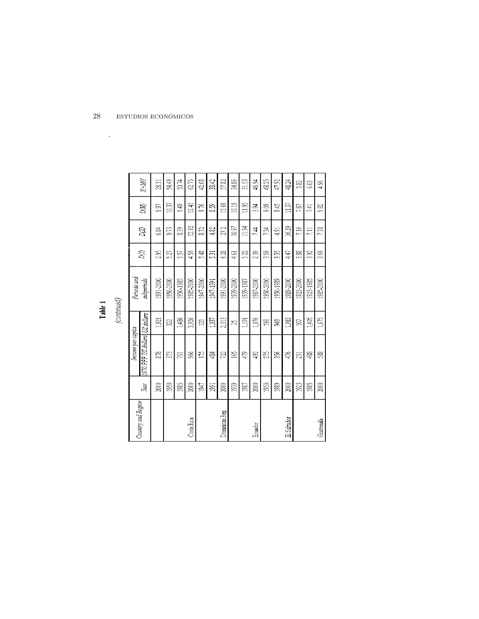| ı.<br>r., |  |
|-----------|--|

 $\mathcal{L}^{\mathcal{L}}(\mathcal{A})$  .

|  | ١ |  |
|--|---|--|
|  |   |  |
|  |   |  |

|             |                   | $X+MN$                         | 28.31          | 54.49     | 50.74     | 62.75      | 42.08     | 38.42                   | 57.82          | 34.86     | 31.53     | 46.94     | 48.25     | 47.92     | 48.24       | 522       | 6.03      | 4.96      |
|-------------|-------------------|--------------------------------|----------------|-----------|-----------|------------|-----------|-------------------------|----------------|-----------|-----------|-----------|-----------|-----------|-------------|-----------|-----------|-----------|
|             |                   | DM <sub>0</sub>                | QÓ             | 10.37     | 949       | 12.45      | 9.76      | S3                      | 15.69          | 10.19     | 11.95     | 3.94      | 20        | 845       | 11.57       | 7.87      | 741       | 9.82      |
|             |                   | <b>S</b>                       | ES<br>S        | 973       | 839       | 12.92      | 832       | 4.82                    | 27.2           | 10.97     | 11.94     | 744       | 734       | 4.91      | 16.39       | 216       | $\Xi$     | 7.38      |
|             |                   | 8B)                            | 295            | 527       | 557       | 4.59       | 5.48      | 531                     | 6.28           | 461       | 5.22      | 239       | 359       | 335       | 447         | 3.88      | 3.92      | 3.69      |
|             | Periods and       | subperiods                     | 1991-2000      | 1950-2000 | 1950-1985 | 1985-2000  | 1947-2000 | 1947-1991               | 1991-2000      | 1939-2000 | 1939-1987 | 1987-2000 | 1950-2000 | 1950-1989 | 1989-2000   | 1923-2000 | 1923-1985 | 1985-2000 |
| (continued) |                   |                                | $\frac{52}{3}$ | 322       | 1,486     | 3,926      | $\Xi$     | 1,037                   | 2,313          | S,        | Į,ioj     | $1,076$   | g         | R         | 1,983       | $\Xi$     | 1,405     | $1,675$   |
|             | Income per capita | 1970 PPP US dollars US dollars | E              | 33        | 5S)       | 86         | Ĕ         | 484                     | 722            | 31        | 479       | 492       | 25        | 356       | 476         | 251       | 488       | ž         |
|             |                   | Year                           | 2000           | 1950      | 1985      | $\Xi$      | 1947      | $\overline{\mathbb{S}}$ | $2000\,$       | 1939      | $1987\,$  | $2000\,$  | 1950      | $^{58}$   | $2000\,$    | 1923      | 1985      | $2000\,$  |
|             |                   | Country and Region             |                |           |           | Costa Rica |           |                         | Dominican Rep. |           |           | Ecuador   |           |           | El Salvador |           |           | Guatemala |

 $28\qquad$  est<br>udios económicos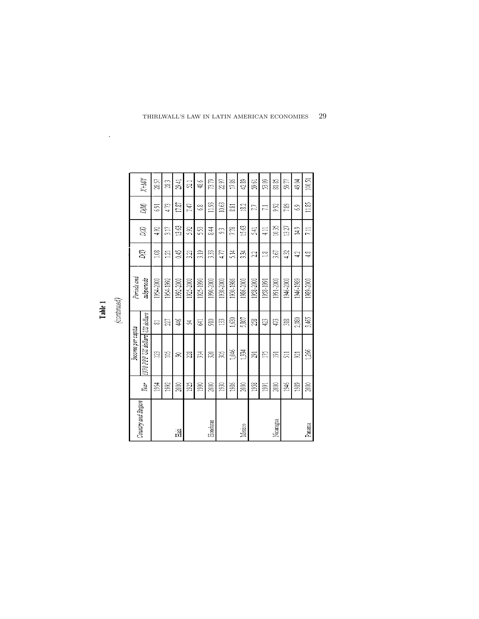| 13.63<br>15.63<br>10,35<br>13.27<br>5.92<br><b>S</b><br>492<br>317<br>53<br>84<br>7.78<br>$\frac{14.9}{2}$<br>R<br>541<br>4.11<br>$\approx$<br>0.45<br>319<br><b>S</b><br>333<br>5.14<br>334<br>3.67<br>432<br>477<br>$\Xi$<br>3.21<br>$\approx$<br>23<br>42<br>Periods and<br>subperiods<br>1925-2000<br>1954-2000<br>1954-1992<br>1992-2000<br>1925-1990<br>1990-2000<br>1930-2000<br>1930-1986<br>1986-2000<br>1958-2000<br>1991-2000<br>1958-1991<br>1946-2000<br>1946-1989<br>1970 PPP US dollars US dollars<br>1,630<br>5,807<br>2,080<br>急<br>$\mathbb{E}$<br>28<br>Q)<br>473<br>$\frac{2}{318}$<br>ă<br>27<br>E)<br>₹<br>ವ<br>Income per capita<br>1,046<br>1334<br>$\mathbb{Z}$<br>≌<br>g<br>X<br>314<br>Z<br>Ĕ<br>ZJ<br>Ξ,<br>511<br>Q1<br>S<br>2000<br>$1986$<br>1958<br>1946<br>$1992$<br>2000<br>1925<br>1990<br>1930<br>2000<br>2000<br>1989<br>Year<br>1954<br>$\overline{\mathbb{S}}$<br>Country and Region<br>Nicaragua<br>Honduras<br>Mexico<br>语 |        |      |       |       |           |        |       |       |                                 |
|---------------------------------------------------------------------------------------------------------------------------------------------------------------------------------------------------------------------------------------------------------------------------------------------------------------------------------------------------------------------------------------------------------------------------------------------------------------------------------------------------------------------------------------------------------------------------------------------------------------------------------------------------------------------------------------------------------------------------------------------------------------------------------------------------------------------------------------------------------------------------------------------------------------------------------------------------------------------|--------|------|-------|-------|-----------|--------|-------|-------|---------------------------------|
|                                                                                                                                                                                                                                                                                                                                                                                                                                                                                                                                                                                                                                                                                                                                                                                                                                                                                                                                                                     |        |      |       |       |           |        |       |       |                                 |
|                                                                                                                                                                                                                                                                                                                                                                                                                                                                                                                                                                                                                                                                                                                                                                                                                                                                                                                                                                     |        |      |       |       |           |        |       | DM    | $\mathbb{Z}$ where $\mathbb{Z}$ |
|                                                                                                                                                                                                                                                                                                                                                                                                                                                                                                                                                                                                                                                                                                                                                                                                                                                                                                                                                                     |        |      |       |       |           |        |       | 531   | 28.57                           |
|                                                                                                                                                                                                                                                                                                                                                                                                                                                                                                                                                                                                                                                                                                                                                                                                                                                                                                                                                                     |        |      |       |       |           |        |       | 4.73  | 23                              |
|                                                                                                                                                                                                                                                                                                                                                                                                                                                                                                                                                                                                                                                                                                                                                                                                                                                                                                                                                                     |        |      |       |       |           |        |       | 17.87 | 2941                            |
|                                                                                                                                                                                                                                                                                                                                                                                                                                                                                                                                                                                                                                                                                                                                                                                                                                                                                                                                                                     |        |      |       |       |           |        |       | 747   | <u>ฐา</u>                       |
|                                                                                                                                                                                                                                                                                                                                                                                                                                                                                                                                                                                                                                                                                                                                                                                                                                                                                                                                                                     |        |      |       |       |           |        |       | S)    | 48.6                            |
|                                                                                                                                                                                                                                                                                                                                                                                                                                                                                                                                                                                                                                                                                                                                                                                                                                                                                                                                                                     |        |      |       |       |           |        |       | 11.93 | 73.79                           |
|                                                                                                                                                                                                                                                                                                                                                                                                                                                                                                                                                                                                                                                                                                                                                                                                                                                                                                                                                                     |        |      |       |       |           |        |       | 10.63 | 22.97                           |
|                                                                                                                                                                                                                                                                                                                                                                                                                                                                                                                                                                                                                                                                                                                                                                                                                                                                                                                                                                     |        |      |       |       |           |        |       | 881   | 17.86                           |
|                                                                                                                                                                                                                                                                                                                                                                                                                                                                                                                                                                                                                                                                                                                                                                                                                                                                                                                                                                     |        |      |       |       |           |        |       | 18.2  | 42.89                           |
|                                                                                                                                                                                                                                                                                                                                                                                                                                                                                                                                                                                                                                                                                                                                                                                                                                                                                                                                                                     |        |      |       |       |           |        |       | 27    | 59.61                           |
|                                                                                                                                                                                                                                                                                                                                                                                                                                                                                                                                                                                                                                                                                                                                                                                                                                                                                                                                                                     |        |      |       |       |           |        |       | $\Xi$ | 53.09                           |
|                                                                                                                                                                                                                                                                                                                                                                                                                                                                                                                                                                                                                                                                                                                                                                                                                                                                                                                                                                     |        |      |       |       |           |        |       | 9.92  | 81.85                           |
|                                                                                                                                                                                                                                                                                                                                                                                                                                                                                                                                                                                                                                                                                                                                                                                                                                                                                                                                                                     |        |      |       |       |           |        |       | 7.89  | 59.77                           |
|                                                                                                                                                                                                                                                                                                                                                                                                                                                                                                                                                                                                                                                                                                                                                                                                                                                                                                                                                                     |        |      |       |       |           |        |       | S     | 49.04                           |
|                                                                                                                                                                                                                                                                                                                                                                                                                                                                                                                                                                                                                                                                                                                                                                                                                                                                                                                                                                     | Panama | 2000 | 1,266 | 3,465 | 1989-2000 | ू<br>च | $\Xi$ | 11.85 | 100,51                          |

Table 1

.

THIRLWALL'S LAW IN LATIN AMERICAN ECONOMIES  $\quad$   $29$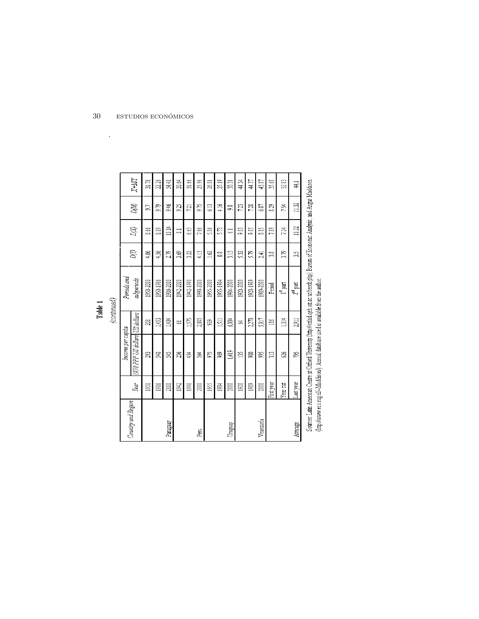|             | ֦֦֦֖֚֚֚֬֝֝֬֝֬ |
|-------------|---------------|
| –<br>≏<br>É |               |
|             |               |

| Country and Region |            | income per capita              |       | Periods and          |                |          |       |               |
|--------------------|------------|--------------------------------|-------|----------------------|----------------|----------|-------|---------------|
|                    | Year       | 1970 PPP US dollars US dollars |       | subperiods           | <b>SS</b>      | <b>S</b> | DMQ   | $X+MN$        |
|                    | 50         | g                              | g     | 1950-2000            | 406            | 8.66     | 53    | 31.76         |
|                    | 1986       | X                              | 551   | 1950-1986            | 456            | 20       | E6    | 226           |
| Paraguay           | g          | F                              | 1,404 | 1986-2000            | 2B             | 10.14    | 9.46  | 54.48         |
|                    | 942        | ă                              | S     | 1942-2000            | 3.69           | ಷ        | 9.25  | 30.64         |
|                    | 5          | 454                            | 1,575 | 1942-1990            | 322            | 665      | 721   | 31.66         |
| Ē                  | ā          | 窝                              | 2,085 | 1990-2000            | $\frac{13}{4}$ | 7.66     | 9.75  | 85<br>S       |
|                    | 1955       | S.                             | S.    | 1955-2000            | $\Xi$          | 58       | 33    | 26.81         |
|                    | <b>BS4</b> | Ş                              | 51    | 1955-1984            | ≌              | ST3      | 4.16  | 25.19         |
| Uruguay            | g          | 1,419                          | 6,004 | 1984-2000            | ្អ             | ತ        | 9ŝ    | ភ្ន           |
|                    | 920        | ă                              | Ź,    | 1920-2000            | SE             | g        | 7.23  | 44.24         |
|                    | 1989       | g                              | 2,270 | 1920-1989            | 5R             | Š.       | 7.28  | 44.37         |
| Venezuela          | g          | Š                              | 5,017 | 1989-2000            | 241            | 88       | 687   | 43.87         |
|                    | First year | Å                              | ě     | Penod                | ã              | 7.89     | 23    | 35.68         |
|                    | Year cut   | S                              | 1314  | I <sup>st</sup> part | e.<br>S        | 7.4      | 734   | 32.83         |
| Average            | Last year  | E                              | 2,911 | Z <sup>nd</sup> part | S              | 1032     | 11.32 | $\frac{4}{1}$ |
|                    |            |                                |       |                      |                |          |       |               |

Sources: Latin American Centre at Oxford University (http://oxflad.geh.ox.ac.uo/serch.php) Bureau of Economic Analysis, and Angus Madodison.<br>(http://www.eco.rug.nl/~Maddison/), Amnial database used is available from the au

 $\ddot{\phantom{a}}$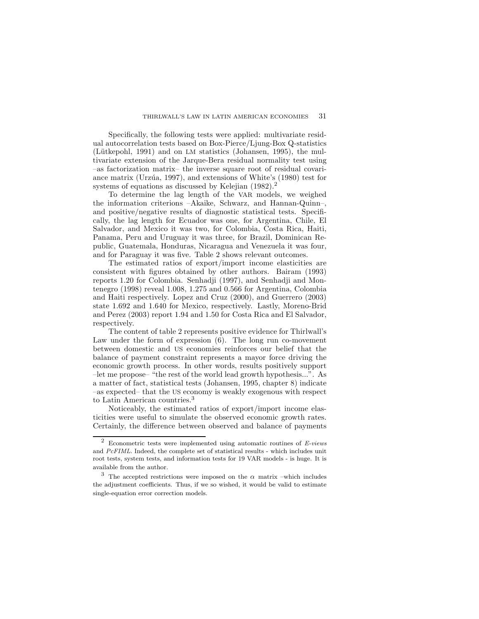Specifically, the following tests were applied: multivariate residual autocorrelation tests based on Box-Pierce/Ljung-Box Q-statistics (Lütkepohl, 1991) and on LM statistics (Johansen, 1995), the multivariate extension of the Jarque-Bera residual normality test using  $-$ as factorization matrix- the inverse square root of residual covariance matrix (Urzúa, 1997), and extensions of White's (1980) test for systems of equations as discussed by Kelejian  $(1982)$ .

To determine the lag length of the VAR models, we weighed the information criterions  $-Akaike$ , Schwarz, and Hannan-Quinnand positive/negative results of diagnostic statistical tests. Specifically, the lag length for Ecuador was one, for Argentina, Chile, El Salvador, and Mexico it was two, for Colombia, Costa Rica, Haiti, Panama, Peru and Uruguay it was three, for Brazil, Dominican Republic, Guatemala, Honduras, Nicaragua and Venezuela it was four, and for Paraguay it was five. Table 2 shows relevant outcomes.

The estimated ratios of export/import income elasticities are consistent with figures obtained by other authors. Bairam (1993) reports 1.20 for Colombia. Senhadji (1997), and Senhadji and Montenegro (1998) reveal 1.008, 1.275 and 0.566 for Argentina, Colombia and Haiti respectively. Lopez and Cruz (2000), and Guerrero (2003) state 1.692 and 1.640 for Mexico, respectively. Lastly, Moreno-Brid and Perez (2003) report 1.94 and 1.50 for Costa Rica and El Salvador, respectively.

The content of table 2 represents positive evidence for Thirlwall's Law under the form of expression  $(6)$ . The long run co-movement between domestic and US economies reinforces our belief that the balance of payment constraint represents a mayor force driving the economic growth process. In other words, results positively support  ${\sim}$  let me propose  ${\cdot}$  "the rest of the world lead growth hypothesis...". As a matter of fact, statistical tests (Johansen, 1995, chapter 8) indicate -as expected that the US economy is weakly exogenous with respect to Latin American countries.<sup>3</sup>

Noticeably, the estimated ratios of export/import income elasticities were useful to simulate the observed economic growth rates. Certainly, the difference between observed and balance of payments

 $2$  Econometric tests were implemented using automatic routines of E-views and PcFIML. Indeed, the complete set of statistical results - which includes unit root tests, system tests, and information tests for 19 VAR models - is huge. It is available from the author.

<sup>&</sup>lt;sup>3</sup> The accepted restrictions were imposed on the  $\alpha$  matrix -which includes the adjustment coefficients. Thus, if we so wished, it would be valid to estimate single-equation error correction models.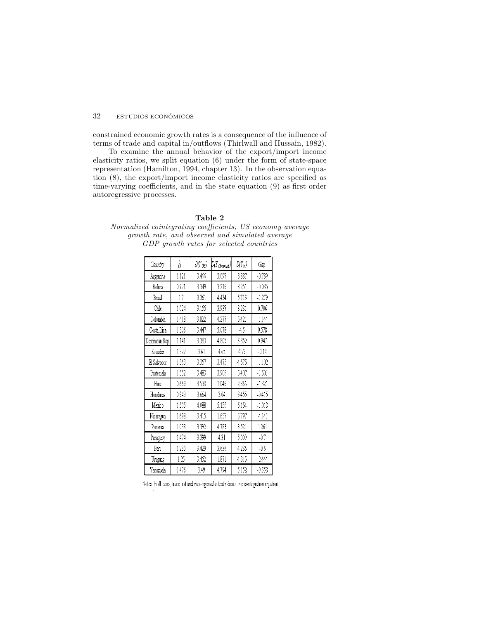constrained economic growth rates is a consequence of the influence of terms of trade and capital in/outflows (Thirlwall and Hussain, 1982).

To examine the annual behavior of the export/import income elasticity ratios, we split equation (6) under the form of state-space representation (Hamilton, 1994, chapter 13) . In the observation equation  $(8)$ , the export/import income elasticity ratios are specified as time-varying coefficients, and in the state equation  $(9)$  as first order autoregressive processes.

### Table 2

Normalized cointegrating coefficients, US economy average growth rate, and observed and simulated average GDP growth rates for selected countries

| Country        | $\hat{\alpha}$ | $D(Y_{US})$ | $D(Y_{Observed})$ | $D(Y_b)$ | Gap      |
|----------------|----------------|-------------|-------------------|----------|----------|
| Argentina      | 1.121          | 3.466       | 3.097             | 3.887    | $-0.789$ |
| Bolivia        | 0.971          | 3.349       | 3.216             | 3.251    | $-0.035$ |
| Brazil         | 17             | 3.361       | 4.434             | 5.713    | $-1.279$ |
| Chile          | 1.024          | 3.155       | 3.937             | 3.231    | 0.706    |
| Colombia       | 1.418          | 3.822       | 4.277             | 5.421    | $-1.144$ |
| Costa Rica     | 1.306          | 3.447       | 5.078             | 4.5      | 0.578    |
| Dominican Rep. | 1.141          | 3.383       | 4.805             | 3.859    | 0.947    |
| Ecuador        | 1.327          | 3.61        | 4.65              | 4.79     | $-0.14$  |
| El Salvador    | 1.363          | 3.357       | 3.473             | 4.575    | $-1.102$ |
| Guatemala      | 1.552          | 3.483       | 3.906             | 5.407    | $-1.501$ |
| Hati           | 0.669          | 3.538       | 1.046             | 2.366    | $-1.321$ |
| Honduras       | 0.943          | 3.664       | 3.04              | 3.455    | $-0.415$ |
| Mexico         | 1.505          | 4.088       | 5.136             | 6.154    | $-1.018$ |
| Nicaragua      | 1.698          | 3.415       | 1.657             | 5.797    | -4.141   |
| Panama         | 1.038          | 3.392       | 4.783             | 3.521    | 1.261    |
| Paraguay       | 1.474          | 3.399       | 4.31              | 5.009    | $-0.7$   |
| Peru           | 1.235          | 3.429       | 3.636             | 4.236    | $-0.6$   |
| Uruguay        | 1.25           | 3.452       | 1.871             | 4.315    | $-2.444$ |
| Venezuela      | 1.476          | 3.49        | 4.794             | 5.152    | $-0.358$ |

Notes: In all cases, trace test and max-eigenvalue test indicate one cointegration equation.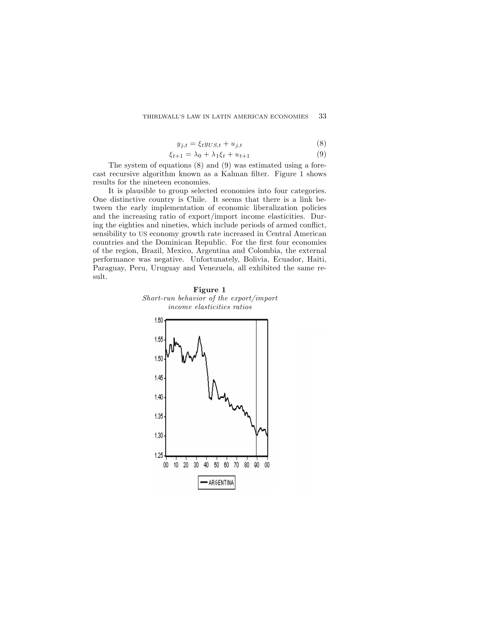$$
y_{j,t} = \xi_t y_{US,t} + u_{j,t} \tag{8}
$$

$$
\xi_{t+1} = \lambda_0 + \lambda_1 \xi_t + u_{t+1} \tag{9}
$$

The system of equations (8) and (9) was estimated using a forecast recursive algorithm known as a Kalman filter. Figure 1 shows results for the nineteen economies.

It is plausible to group selected economies into four categories. One distinctive country is Chile. It seems that there is a link between the early implementation of economic liberalization policies and the increasing ratio of export/import income elasticities. During the eighties and nineties, which include periods of armed conflict, sensibility to US economy growth rate increased in Central American countries and the Dominican Republic. For the first four economies of the region, Brazil, Mexico, Argentina and Colombia, the external performance was negative. Unfortunately, Bolivia, Ecuador, Haiti, Paraguay, Peru, Uruguay and Venezuela, all exhibited the same result.



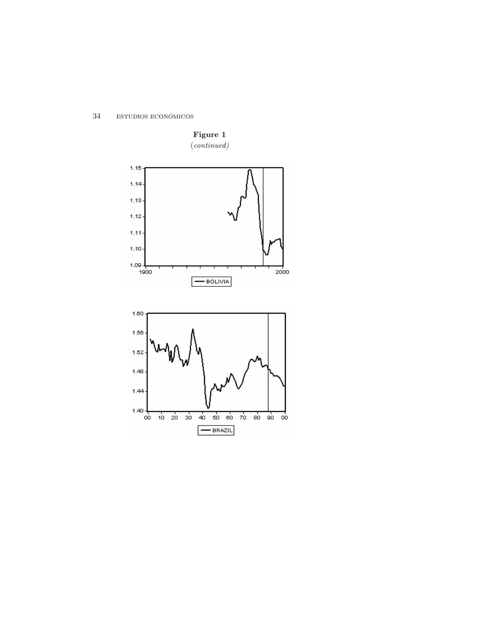$34\,$  $\textsc{estubios}$ ECONÓMICOS



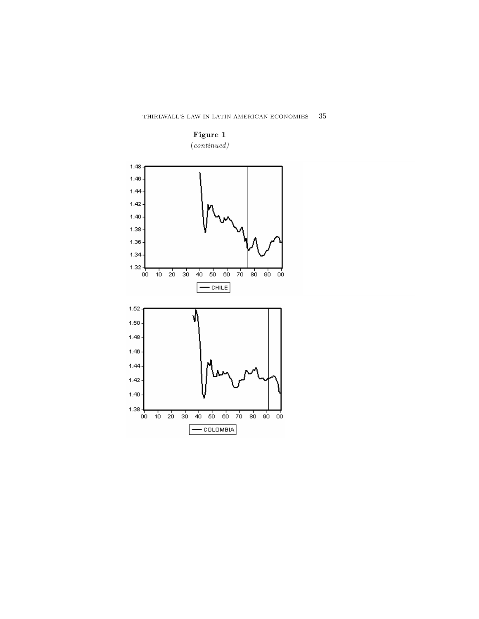

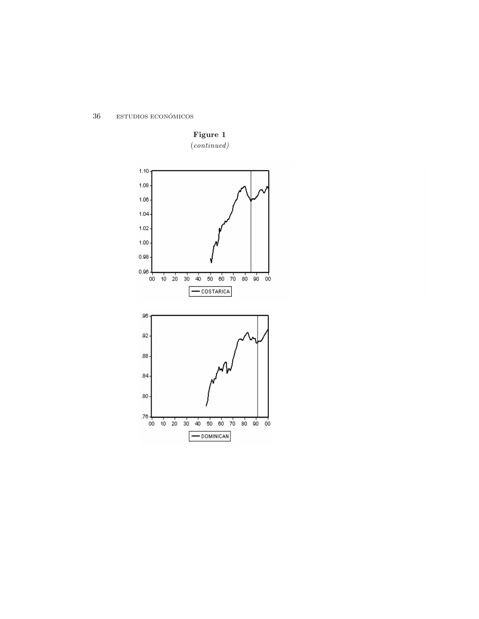$36\,$  $\textsc{estubios}$ ECONÓMICOS



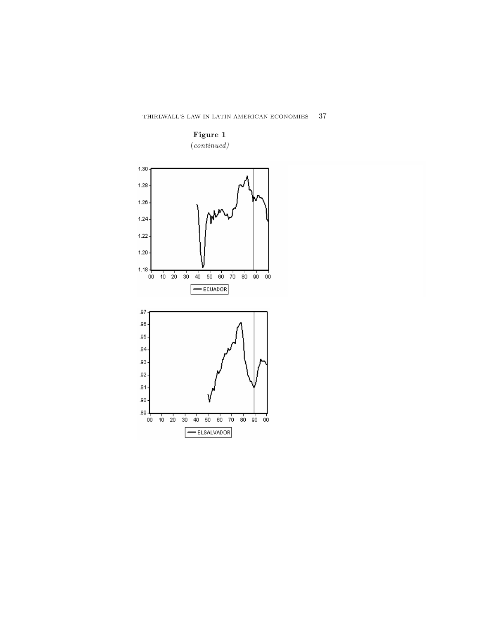

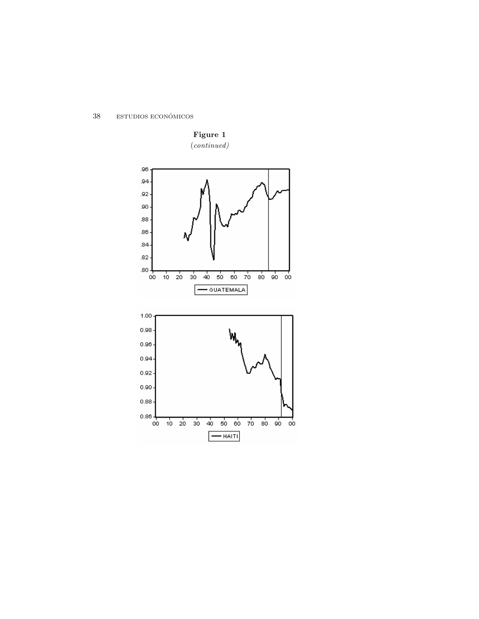$38\,$  $\textsc{estubios}$ ECONÓMICOS

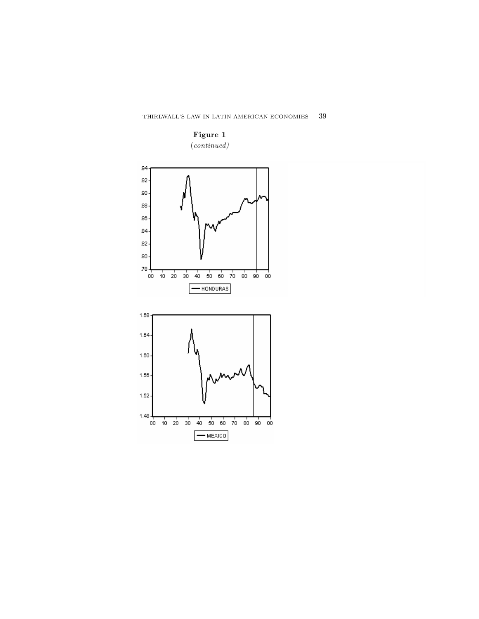

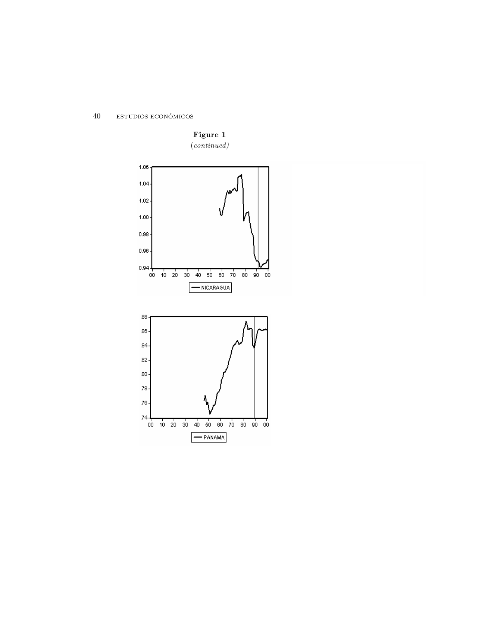$40\,$  $\textsc{estubios}$ ECONÓMICOS

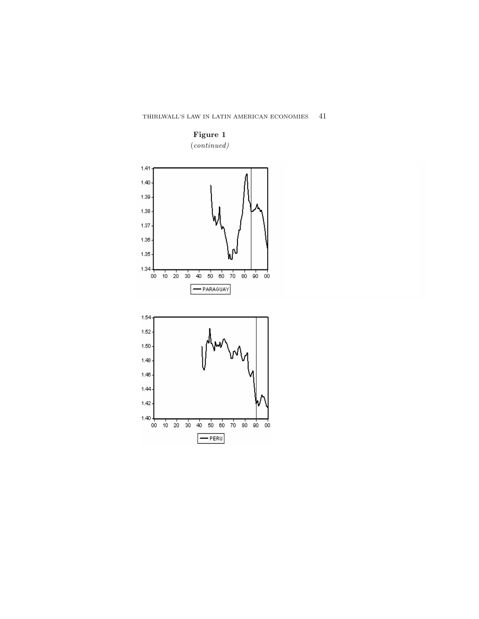



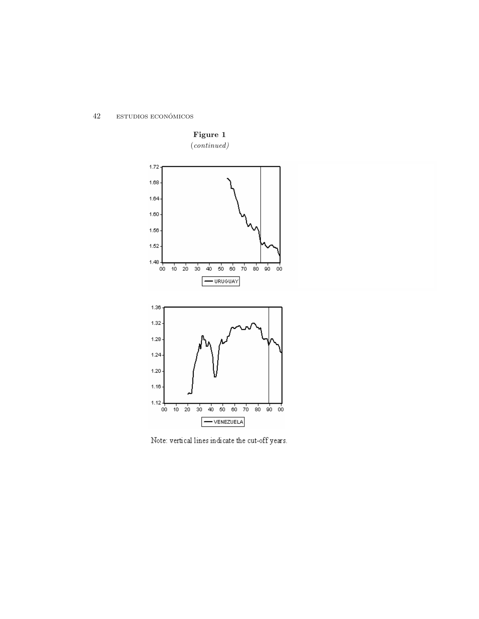$42\,$  $\textsc{estubios}$ ECONÓMICOS



Note: vertical lines indicate the cut-off years.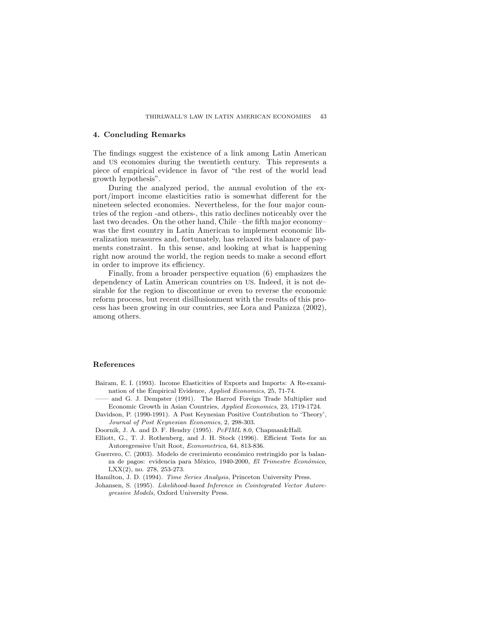## 4. Concluding Remarks

The findings suggest the existence of a link among Latin American and US economies during the twentieth century. This represents a piece of empirical evidence in favor of \the rest of the world lead growth hypothesis" .

During the analyzed period, the annual evolution of the export/import income elasticities ratio is somewhat different for the nineteen selected economies. Nevertheless, for the four major countries of the region -and others-, this ratio declines noticeably over the last two decades. On the other hand, Chile -the fifth major economywas the first country in Latin American to implement economic liberalization measures and, fortunately, has relaxed its balance of payments constraint. In this sense, and looking at what is happening right now around the world, the region needs to make a second effort in order to improve its efficiency.

Finally, from a broader perspective equation (6) emphasizes the dependency of Latin American countries on US. Indeed, it is not desirable for the region to discontinue or even to reverse the economic reform process, but recent disillusionment with the results of this process has been growing in our countries, see Lora and Panizza (2002) , among others.

### R e fe r e n c e s

- Bairam, E. I. (1993). Income Elasticities of Exports and Imports: A Re-examination of the Empirical Evidence, Applied Economics, 25, 71-74.
	- and G. J. Dempster (1991). The Harrod Foreign Trade Multiplier and Economic Growth in Asian Countries, Applied Economics, 23, 1719-1724.
- Davidson, P. (1990-1991). A Post Keynesian Positive Contribution to 'Theory', Journal of Post Keynesian Economics, 2, 298-303.

Doornik, J. A. and D. F. Hendry (1995).  $PeFIML$  8.0, Chapman&Hall.

- Elliott, G., T. J. Rothenberg, and J. H. Stock (1996). Efficient Tests for an Autoregressive Unit Root, Econometrica, 64, 813-836.
- Guerrero, C. (2003). Modelo de crecimiento económico restringido por la balanza de pagos: evidencia para México, 1940-2000, El Trimestre Económico,  $LXX(2)$ , no. 278, 253-273.

Hamilton, J. D. (1994). Time Series Analysis, Princeton University Press.

Johansen, S. (1995). Likelihood-based Inference in Cointegrated Vector Autoregressive Models, Oxford University Press.